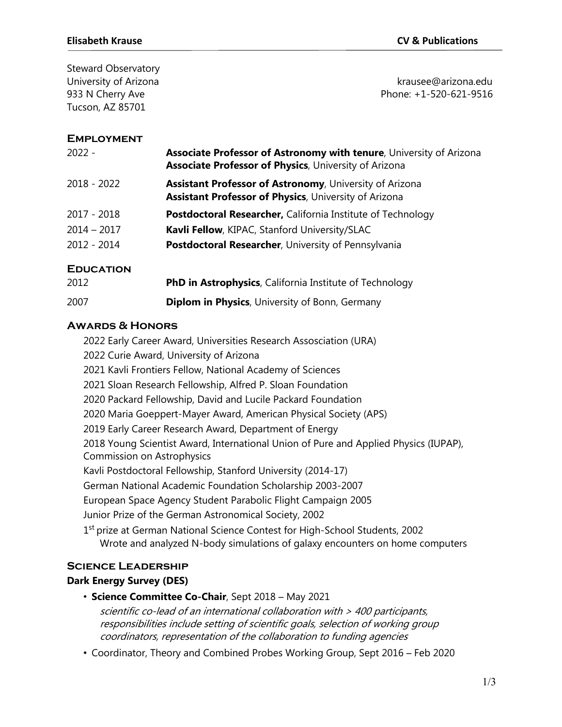Steward Observatory University of Arizona krausee@arizona.edu Tucson, AZ 85701

# 933 N Cherry Ave **Phone: +1-520-621-9516**

#### **Employment**

| $2022 -$         | Associate Professor of Astronomy with tenure, University of Arizona<br><b>Associate Professor of Physics, University of Arizona</b> |
|------------------|-------------------------------------------------------------------------------------------------------------------------------------|
| 2018 - 2022      | <b>Assistant Professor of Astronomy, University of Arizona</b><br><b>Assistant Professor of Physics, University of Arizona</b>      |
| 2017 - 2018      | <b>Postdoctoral Researcher, California Institute of Technology</b>                                                                  |
| $2014 - 2017$    | Kavli Fellow, KIPAC, Stanford University/SLAC                                                                                       |
| $2012 - 2014$    | Postdoctoral Researcher, University of Pennsylvania                                                                                 |
| <b>EDUCATION</b> |                                                                                                                                     |
| 2012             | <b>PhD in Astrophysics, California Institute of Technology</b>                                                                      |
| 2007             | <b>Diplom in Physics, University of Bonn, Germany</b>                                                                               |

#### **Awards & Honors**

2022 Early Career Award, Universities Research Assosciation (URA) 2022 Curie Award, University of Arizona 2021 Kavli Frontiers Fellow, National Academy of Sciences 2021 Sloan Research Fellowship, Alfred P. Sloan Foundation 2020 Packard Fellowship, David and Lucile Packard Foundation 2020 Maria Goeppert-Mayer Award, American Physical Society (APS) 2019 Early Career Research Award, Department of Energy 2018 Young Scientist Award, International Union of Pure and Applied Physics (IUPAP), Commission on Astrophysics Kavli Postdoctoral Fellowship, Stanford University (2014-17) German National Academic Foundation Scholarship 2003-2007 European Space Agency Student Parabolic Flight Campaign 2005 Junior Prize of the German Astronomical Society, 2002 1<sup>st</sup> prize at German National Science Contest for High-School Students, 2002 Wrote and analyzed N-body simulations of galaxy encounters on home computers

## **Science Leadership**

## **Dark Energy Survey (DES)**

- **Science Committee Co-Chair**, Sept 2018 May 2021 scientific co-lead of an international collaboration with <sup>&</sup>gt; 400 participants, responsibilities include setting of scientific goals, selection of working group coordinators, representation of the collaboration to funding agencies
- . Coordinator, Theory and Combined Probes Working Group, Sept 2016 Feb 2020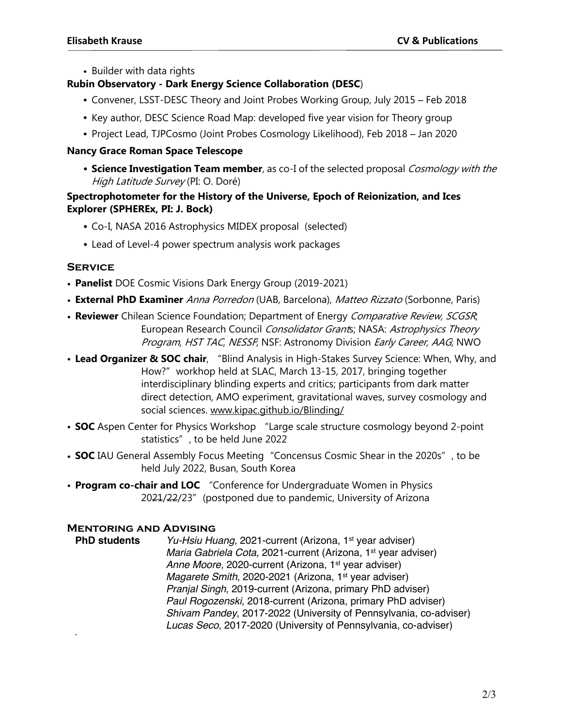• Builder with data rights

## **Rubin Observatory - Dark Energy Science Collaboration (DESC**)

- . Convener, LSST-DESC Theory and Joint Probes Working Group, July 2015 Feb 2018
- ! Key author, DESC Science Road Map: developed five year vision for Theory group
- . Project Lead, TJPCosmo (Joint Probes Cosmology Likelihood), Feb 2018 Jan 2020

## **Nancy Grace Roman Space Telescope**

! **Science Investigation Team member**, as co-I of the selected proposal Cosmology with the High Latitude Survey (PI: O. Doré)

## **Spectrophotometer for the History of the Universe, Epoch of Reionization, and Ices Explorer (SPHEREx, PI: J. Bock)**

- ! Co-I, NASA 2016 Astrophysics MIDEX proposal (selected)
- Lead of Level-4 power spectrum analysis work packages

# **Service**

- **Panelist** DOE Cosmic Visions Dark Energy Group (2019-2021)
- **External PhD Examiner** Anna Porredon (UAB, Barcelona), Matteo Rizzato (Sorbonne, Paris)
- **Reviewer** Chilean Science Foundation; Department of Energy Comparative Review, SCGSR; European Research Council Consolidator Grants; NASA: Astrophysics Theory Program, HST TAC, NESSF, NSF: Astronomy Division Early Career, AAG, NWO
- **Lead Organizer & SOC chair**, "Blind Analysis in High-Stakes Survey Science: When, Why, and How?" workhop held at SLAC, March 13-15, 2017, bringing together interdisciplinary blinding experts and critics; participants from dark matter direct detection, AMO experiment, gravitational waves, survey cosmology and social sciences. www.kipac.github.io/Blinding/
- **SOC** Aspen Center for Physics Workshop "Large scale structure cosmology beyond 2-point statistics", to be held June 2022
- **SOC** IAU General Assembly Focus Meeting "Concensus Cosmic Shear in the 2020s", to be held July 2022, Busan, South Korea
- **Program co-chair and LOC** "Conference for Undergraduate Women in Physics 2021/22/23" (postponed due to pandemic, University of Arizona

# **Mentoring and Advising**

!

**PhD** students *Yu-Hsiu Huang,* 2021-current (Arizona, 1<sup>st</sup> year adviser) *Maria Gabriela Cota,* 2021-current (Arizona, 1st year adviser) *Anne Moore,* 2020-current (Arizona, 1st year adviser) *Magarete Smith, 2020-2021 (Arizona, 1<sup>st</sup> year adviser) Pranjal Singh,* 2019-current (Arizona, primary PhD adviser) *Paul Rogozenski*, 2018-current (Arizona, primary PhD adviser) *Shivam Pandey*, 2017-2022 (University of Pennsylvania, co-adviser) *Lucas Seco*, 2017-2020 (University of Pennsylvania, co-adviser)